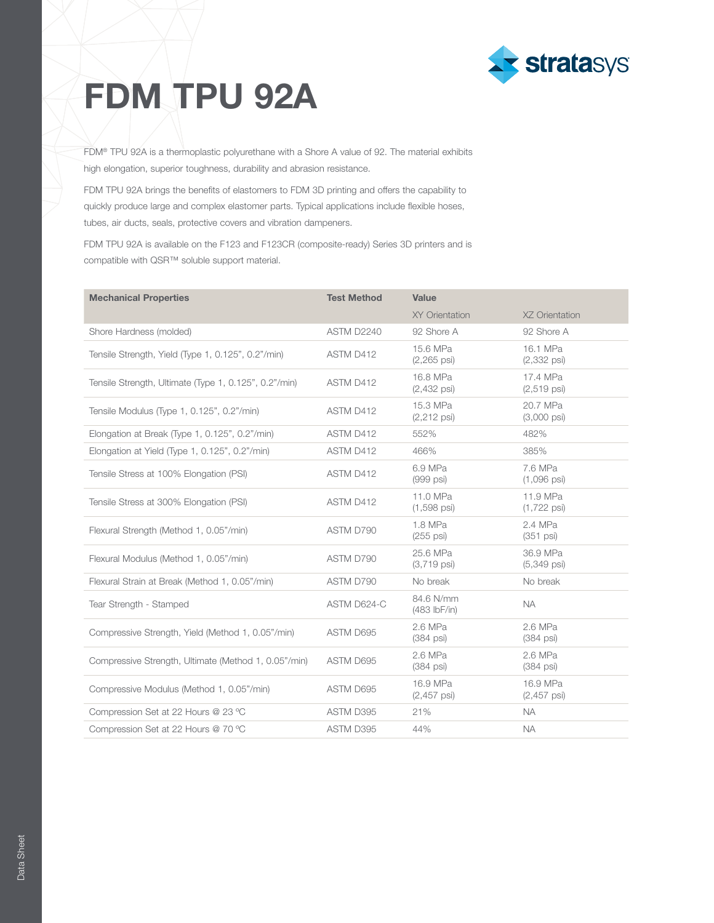

## FDM TPU 92A

FDM® TPU 92A is a thermoplastic polyurethane with a Shore A value of 92. The material exhibits high elongation, superior toughness, durability and abrasion resistance.

FDM TPU 92A brings the benefits of elastomers to FDM 3D printing and offers the capability to quickly produce large and complex elastomer parts. Typical applications include flexible hoses, tubes, air ducts, seals, protective covers and vibration dampeners.

FDM TPU 92A is available on the F123 and F123CR (composite-ready) Series 3D printers and is compatible with QSR™ soluble support material.

| <b>Mechanical Properties</b>                          | <b>Test Method</b> | Value                              |                                   |
|-------------------------------------------------------|--------------------|------------------------------------|-----------------------------------|
|                                                       |                    | <b>XY Orientation</b>              | XZ Orientation                    |
| Shore Hardness (molded)                               | ASTM D2240         | 92 Shore A                         | 92 Shore A                        |
| Tensile Strength, Yield (Type 1, 0.125", 0.2"/min)    | ASTM D412          | 15.6 MPa<br>$(2,265 \text{ psi})$  | 16.1 MPa<br>$(2,332 \text{ psi})$ |
| Tensile Strength, Ultimate (Type 1, 0.125", 0.2"/min) | ASTM D412          | 16.8 MPa<br>$(2,432 \text{ psi})$  | 17.4 MPa<br>$(2,519$ psi)         |
| Tensile Modulus (Type 1, 0.125", 0.2"/min)            | ASTM D412          | 15.3 MPa<br>$(2, 212 \text{ psi})$ | 20.7 MPa<br>$(3,000 \text{ psi})$ |
| Elongation at Break (Type 1, 0.125", 0.2"/min)        | ASTM D412          | 552%                               | 482%                              |
| Elongation at Yield (Type 1, 0.125", 0.2"/min)        | ASTM D412          | 466%                               | 385%                              |
| Tensile Stress at 100% Elongation (PSI)               | ASTM D412          | 6.9 MPa<br>(999 psi)               | 7.6 MPa<br>$(1,096 \text{ psi})$  |
| Tensile Stress at 300% Elongation (PSI)               | ASTM D412          | 11.0 MPa<br>$(1,598$ psi)          | 11.9 MPa<br>$(1,722 \text{ psi})$ |
| Flexural Strength (Method 1, 0.05"/min)               | ASTM D790          | 1.8 MPa<br>$(255 \text{ psi})$     | 2.4 MPa<br>$(351 \text{ psi})$    |
| Flexural Modulus (Method 1, 0.05"/min)                | ASTM D790          | 25.6 MPa<br>$(3,719 \text{ psi})$  | 36.9 MPa<br>(5,349 psi)           |
| Flexural Strain at Break (Method 1, 0.05"/min)        | ASTM D790          | No break                           | No break                          |
| Tear Strength - Stamped                               | ASTM D624-C        | 84.6 N/mm<br>$(483$ lbF/in)        | <b>NA</b>                         |
| Compressive Strength, Yield (Method 1, 0.05"/min)     | ASTM D695          | 2.6 MPa<br>$(384 \text{ psi})$     | 2.6 MPa<br>$(384 \text{ psi})$    |
| Compressive Strength, Ultimate (Method 1, 0.05"/min)  | ASTM D695          | 2.6 MPa<br>$(384 \text{ psi})$     | 2.6 MPa<br>$(384 \text{ psi})$    |
| Compressive Modulus (Method 1, 0.05"/min)             | ASTM D695          | 16.9 MPa<br>$(2,457 \text{ psi})$  | 16.9 MPa<br>$(2,457 \text{ psi})$ |
| Compression Set at 22 Hours @ 23 °C                   | ASTM D395          | 21%                                | <b>NA</b>                         |
| Compression Set at 22 Hours @ 70 °C                   | ASTM D395          | 44%                                | <b>NA</b>                         |